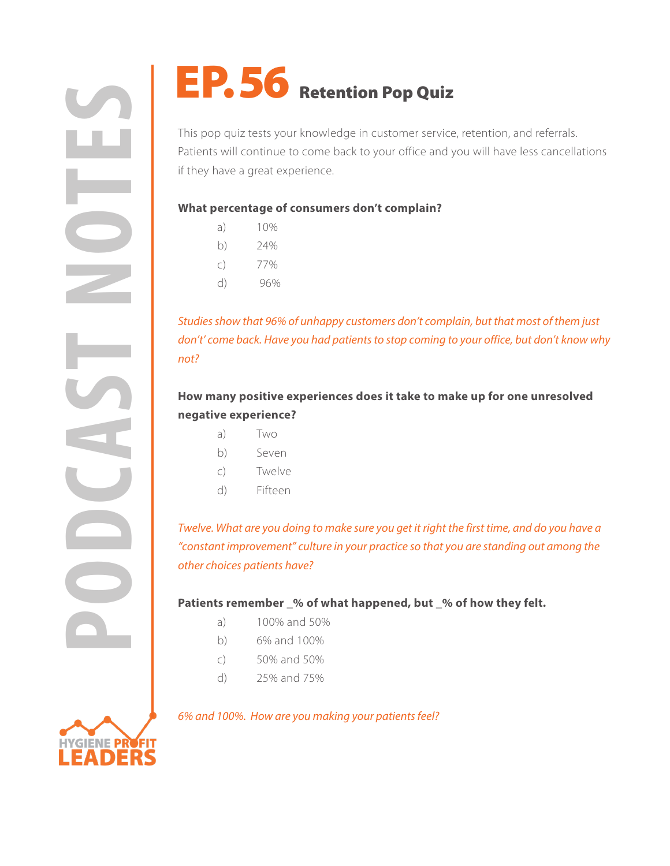**PODE THE SUBLICE THE SUBLICE THE SUBLIMATER SUBLICE THE SUBLICE THE SUBLICE THE SUBLICE THE SUBLICE THE SUBLICE THE SUBLICE THE SUBLICE THE SUBLICE THE SUBLICE THE SUBLICE THE SUBLICE THE SUBLICE THE SUBLICE THE SUBLICE T** 

This pop quiz tests your knowledge in customer service, retention, and referrals. Patients will continue to come back to your office and you will have less cancellations if they have a great experience.

## **What percentage of consumers don't complain?**

- a) 10%
- b) 24%
- c) 77%
- d) 96%

*Studies show that 96% of unhappy customers don't complain, but that most of them just don't' come back. Have you had patients to stop coming to your office, but don't know why not?*

# **How many positive experiences does it take to make up for one unresolved negative experience?**

- a) Two
- b) Seven
- c) Twelve
- d) Fifteen

*Twelve. What are you doing to make sure you get it right the first time, and do you have a "constant improvement" culture in your practice so that you are standing out among the other choices patients have?*

## Patients remember % of what happened, but % of how they felt.

- a) 100% and 50%
- b) 6% and 100%
- c) 50% and 50%
- d) 25% and 75%

## *6% and 100%. How are you making your patients feel?*

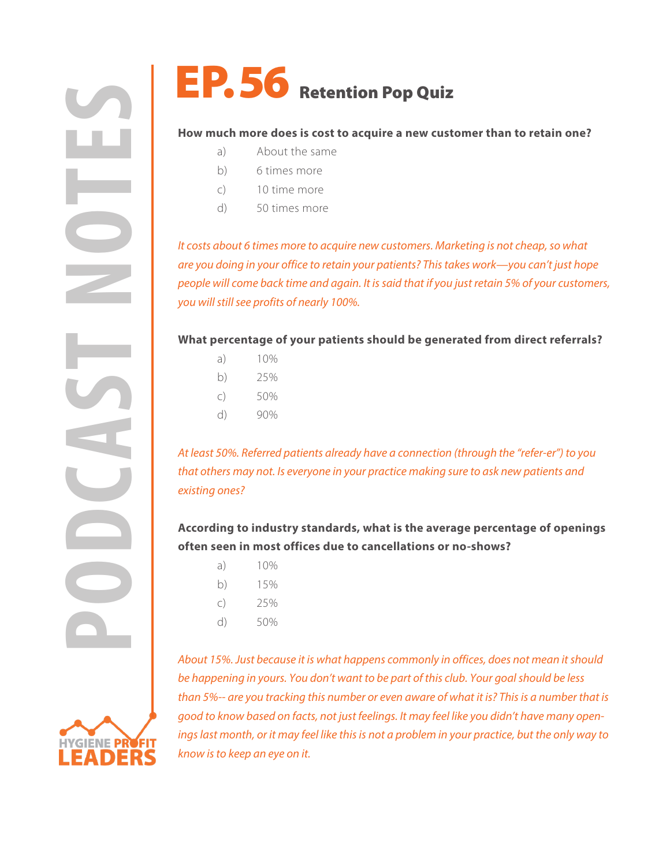

### **How much more does is cost to acquire a new customer than to retain one?**

- a) About the same
- b) 6 times more
- c) 10 time more
- d) 50 times more

*It costs about 6 times more to acquire new customers. Marketing is not cheap, so what are you doing in your office to retain your patients? This takes work—you can't just hope people will come back time and again. It is said that if you just retain 5% of your customers, you will still see profits of nearly 100%.*

### **What percentage of your patients should be generated from direct referrals?**

- a) 10%
- b) 25%
- c) 50%
- d) 90%

*At least 50%. Referred patients already have a connection (through the "refer-er") to you that others may not. Is everyone in your practice making sure to ask new patients and existing ones?*

# **According to industry standards, what is the average percentage of openings often seen in most offices due to cancellations or no-shows?**

- a) 10%
- b) 15%
- c) 25%
- d) 50%

*About 15%. Just because it is what happens commonly in offices, does not mean it should be happening in yours. You don't want to be part of this club. Your goal should be less than 5%-- are you tracking this number or even aware of what it is? This is a number that is good to know based on facts, not just feelings. It may feel like you didn't have many openings last month, or it may feel like this is not a problem in your practice, but the only way to know is to keep an eye on it.*